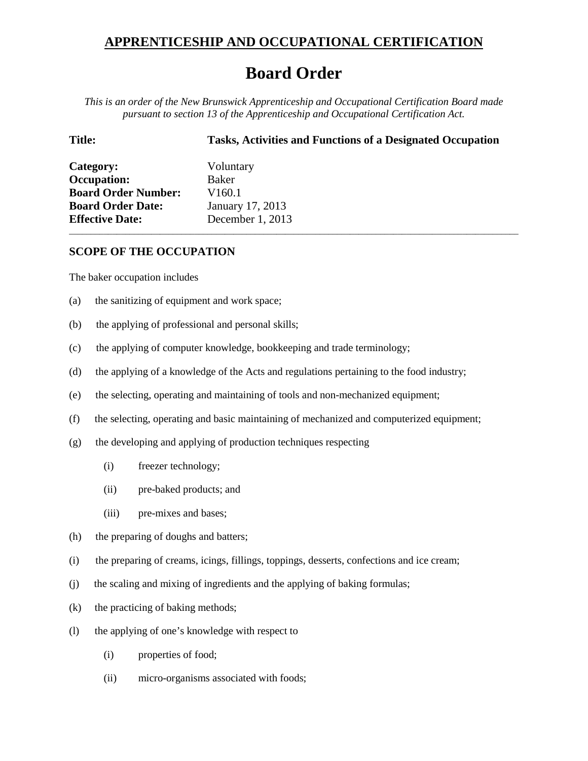## **APPRENTICESHIP AND OCCUPATIONAL CERTIFICATION**

## **Board Order**

*This is an order of the New Brunswick Apprenticeship and Occupational Certification Board made pursuant to section 13 of the Apprenticeship and Occupational Certification Act.*

\_\_\_\_\_\_\_\_\_\_\_\_\_\_\_\_\_\_\_\_\_\_\_\_\_\_\_\_\_\_\_\_\_\_\_\_\_\_\_\_\_\_\_\_\_\_\_\_\_\_\_\_\_\_\_\_\_\_\_\_\_\_\_\_\_\_\_\_\_\_\_\_\_\_\_\_\_\_\_\_\_\_\_\_\_\_\_\_\_\_\_\_\_\_\_\_\_\_\_\_\_\_\_\_

## **Title: Tasks, Activities and Functions of a Designated Occupation**

| Category:                  | Voluntary          |
|----------------------------|--------------------|
| <b>Occupation:</b>         | Baker              |
| <b>Board Order Number:</b> | V <sub>160.1</sub> |
| <b>Board Order Date:</b>   | January 17, 2013   |
| <b>Effective Date:</b>     | December 1, 2013   |

## **SCOPE OF THE OCCUPATION**

The baker occupation includes

- (a) the sanitizing of equipment and work space;
- (b) the applying of professional and personal skills;
- (c) the applying of computer knowledge, bookkeeping and trade terminology;
- (d) the applying of a knowledge of the Acts and regulations pertaining to the food industry;
- (e) the selecting, operating and maintaining of tools and non-mechanized equipment;
- (f) the selecting, operating and basic maintaining of mechanized and computerized equipment;
- (g) the developing and applying of production techniques respecting
	- (i) freezer technology;
	- (ii) pre-baked products; and
	- (iii) pre-mixes and bases;
- (h) the preparing of doughs and batters;
- (i) the preparing of creams, icings, fillings, toppings, desserts, confections and ice cream;
- (j) the scaling and mixing of ingredients and the applying of baking formulas;
- (k) the practicing of baking methods;
- (l) the applying of one's knowledge with respect to
	- (i) properties of food;
	- (ii) micro-organisms associated with foods;